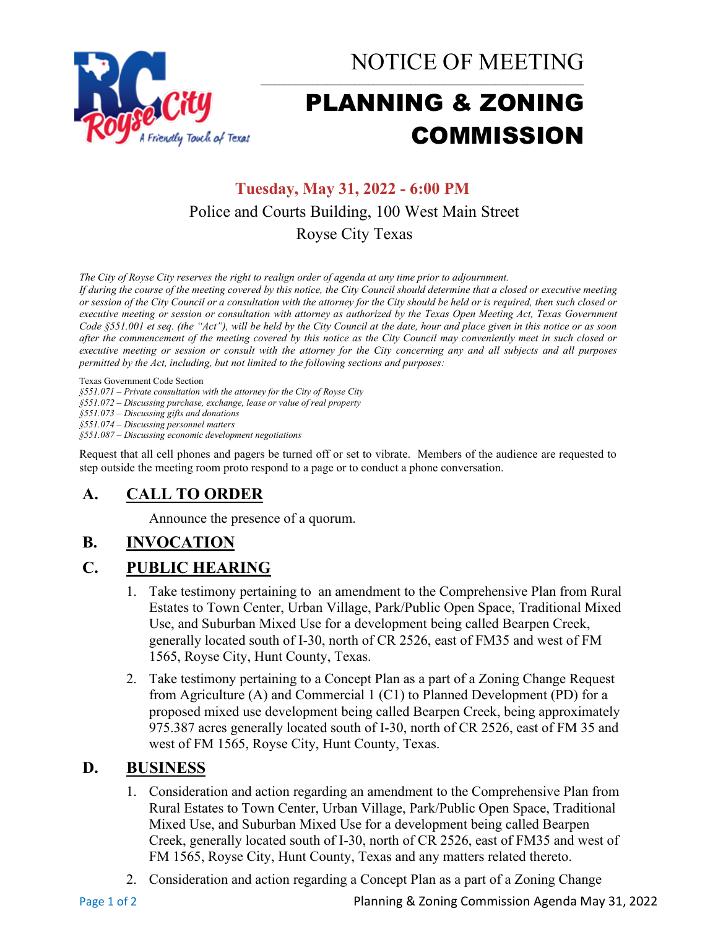

NOTICE OF MEETING

# PLANNING & ZONING COMMISSION

## **Tuesday, May 31, 2022 - 6:00 PM** Police and Courts Building, 100 West Main Street Royse City Texas

*The City of Royse City reserves the right to realign order of agenda at any time prior to adjournment.*

*If during the course of the meeting covered by this notice, the City Council should determine that a closed or executive meeting or session of the City Council or a consultation with the attorney for the City should be held or is required, then such closed or executive meeting or session or consultation with attorney as authorized by the Texas Open Meeting Act, Texas Government Code §551.001 et seq. (the "Act"), will be held by the City Council at the date, hour and place given in this notice or as soon after the commencement of the meeting covered by this notice as the City Council may conveniently meet in such closed or executive meeting or session or consult with the attorney for the City concerning any and all subjects and all purposes permitted by the Act, including, but not limited to the following sections and purposes:*

Texas Government Code Section

*§551.071 – Private consultation with the attorney for the City of Royse City* 

*§551.072 – Discussing purchase, exchange, lease or value of real property* 

*§551.073 – Discussing gifts and donations*

*§551.074 – Discussing personnel matters*

*§551.087 – Discussing economic development negotiations*

Request that all cell phones and pagers be turned off or set to vibrate. Members of the audience are requested to step outside the meeting room proto respond to a page or to conduct a phone conversation.

## **A. CALL TO ORDER**

Announce the presence of a quorum.

## **B. INVOCATION**

## **C. PUBLIC HEARING**

- 1. Take testimony pertaining to an amendment to the Comprehensive Plan from Rural Estates to Town Center, Urban Village, Park/Public Open Space, Traditional Mixed Use, and Suburban Mixed Use for a development being called Bearpen Creek, generally located south of I-30, north of CR 2526, east of FM35 and west of FM 1565, Royse City, Hunt County, Texas.
- 2. Take testimony pertaining to a Concept Plan as a part of a Zoning Change Request from Agriculture (A) and Commercial 1 (C1) to Planned Development (PD) for a proposed mixed use development being called Bearpen Creek, being approximately 975.387 acres generally located south of I-30, north of CR 2526, east of FM 35 and west of FM 1565, Royse City, Hunt County, Texas.

#### **D. BUSINESS**

- 1. Consideration and action regarding an amendment to the Comprehensive Plan from Rural Estates to Town Center, Urban Village, Park/Public Open Space, Traditional Mixed Use, and Suburban Mixed Use for a development being called Bearpen Creek, generally located south of I-30, north of CR 2526, east of FM35 and west of FM 1565, Royse City, Hunt County, Texas and any matters related thereto.
- 2. Consideration and action regarding a Concept Plan as a part of a Zoning Change

Page 1 of 2 **Planning & Zoning Commission Agenda May 31, 2022**